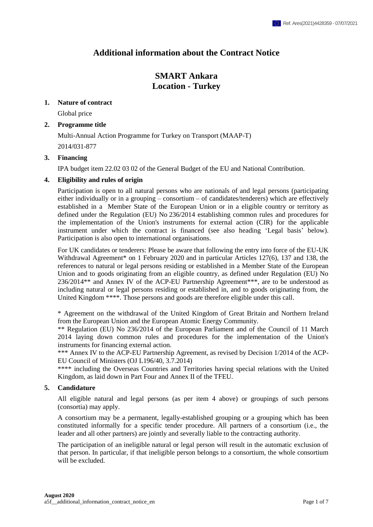# **Additional information about the Contract Notice**

# **SMART Ankara Location - Turkey**

# **1. Nature of contract**

Global price

# **2. Programme title**

Multi-Annual Action Programme for Turkey on Transport (MAAP-T) 2014/031-877

# **3. Financing**

IPA budget item 22.02 03 02 of the General Budget of the EU and National Contribution.

# **4. Eligibility and rules of origin**

Participation is open to all natural persons who are nationals of and legal persons (participating either individually or in a grouping – consortium – of candidates/tenderers) which are effectively established in a Member State of the European Union or in a eligible country or territory as defined under the Regulation (EU) No 236/2014 establishing common rules and procedures for the implementation of the Union's instruments for external action (CIR) for the applicable instrument under which the contract is financed (see also heading 'Legal basis' below). Participation is also open to international organisations.

For UK candidates or tenderers: Please be aware that following the entry into force of the EU-UK Withdrawal Agreement<sup>\*</sup> on 1 February 2020 and in particular Articles 127(6), 137 and 138, the references to natural or legal persons residing or established in a Member State of the European Union and to goods originating from an eligible country, as defined under Regulation (EU) No 236/2014\*\* and Annex IV of the ACP-EU Partnership Agreement\*\*\*, are to be understood as including natural or legal persons residing or established in, and to goods originating from, the United Kingdom \*\*\*\*. Those persons and goods are therefore eligible under this call.

\* Agreement on the withdrawal of the United Kingdom of Great Britain and Northern Ireland from the European Union and the European Atomic Energy Community.

\*\* Regulation (EU) No 236/2014 of the European Parliament and of the Council of 11 March 2014 laying down common rules and procedures for the implementation of the Union's instruments for financing external action.

\*\*\* Annex IV to the ACP-EU Partnership Agreement, as revised by Decision 1/2014 of the ACP-EU Council of Ministers (OJ L196/40, 3.7.2014)

\*\*\*\* including the Overseas Countries and Territories having special relations with the United Kingdom, as laid down in Part Four and Annex II of the TFEU.

# **5. Candidature**

All eligible natural and legal persons (as per item 4 above) or groupings of such persons (consortia) may apply.

A consortium may be a permanent, legally-established grouping or a grouping which has been constituted informally for a specific tender procedure. All partners of a consortium (i.e., the leader and all other partners) are jointly and severally liable to the contracting authority.

The participation of an ineligible natural or legal person will result in the automatic exclusion of that person. In particular, if that ineligible person belongs to a consortium, the whole consortium will be excluded.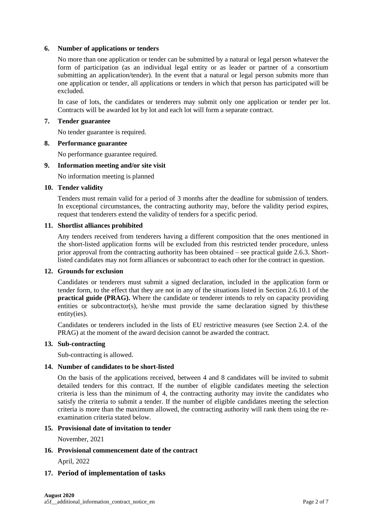## **6. Number of applications or tenders**

No more than one application or tender can be submitted by a natural or legal person whatever the form of participation (as an individual legal entity or as leader or partner of a consortium submitting an application/tender). In the event that a natural or legal person submits more than one application or tender, all applications or tenders in which that person has participated will be excluded.

In case of lots, the candidates or tenderers may submit only one application or tender per lot. Contracts will be awarded lot by lot and each lot will form a separate contract.

#### **7. Tender guarantee**

No tender guarantee is required.

#### **8. Performance guarantee**

No performance guarantee required.

#### **9. Information meeting and/or site visit**

No information meeting is planned

#### **10. Tender validity**

Tenders must remain valid for a period of 3 months after the deadline for submission of tenders. In exceptional circumstances, the contracting authority may, before the validity period expires, request that tenderers extend the validity of tenders for a specific period.

#### **11. Shortlist alliances prohibited**

Any tenders received from tenderers having a different composition that the ones mentioned in the short-listed application forms will be excluded from this restricted tender procedure, unless prior approval from the contracting authority has been obtained – see practical guide 2.6.3. Shortlisted candidates may not form alliances or subcontract to each other for the contract in question.

## **12. Grounds for exclusion**

Candidates or tenderers must submit a signed declaration, included in the application form or tender form, to the effect that they are not in any of the situations listed in Section 2.6.10.1 of the **practical guide** (**PRAG**). Where the candidate or tenderer intends to rely on capacity providing entities or subcontractor(s), he/she must provide the same declaration signed by this/these entity(ies).

Candidates or tenderers included in the lists of EU restrictive measures (see Section 2.4. of the PRAG) at the moment of the award decision cannot be awarded the contract.

## **13. Sub-contracting**

Sub-contracting is allowed.

## **14. Number of candidates to be short-listed**

On the basis of the applications received, between 4 and 8 candidates will be invited to submit detailed tenders for this contract. If the number of eligible candidates meeting the selection criteria is less than the minimum of 4, the contracting authority may invite the candidates who satisfy the criteria to submit a tender. If the number of eligible candidates meeting the selection criteria is more than the maximum allowed, the contracting authority will rank them using the reexamination criteria stated below.

### **15. Provisional date of invitation to tender**

November, 2021

## **16. Provisional commencement date of the contract**

April, 2022

## **17. Period of implementation of tasks**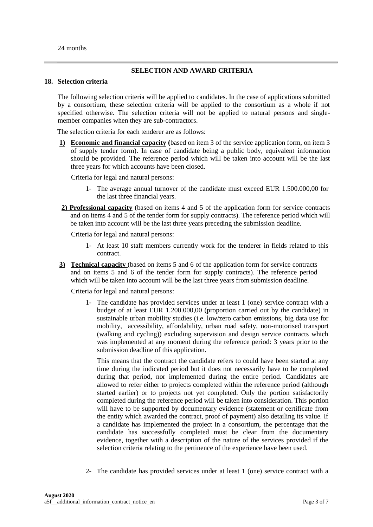24 months

# **SELECTION AND AWARD CRITERIA**

### **18. Selection criteria**

The following selection criteria will be applied to candidates. In the case of applications submitted by a consortium, these selection criteria will be applied to the consortium as a whole if not specified otherwise. The selection criteria will not be applied to natural persons and singlemember companies when they are sub-contractors.

The selection criteria for each tenderer are as follows:

**1) Economic and financial capacity (**based on item 3 of the service application form, on item 3 of supply tender form). In case of candidate being a public body, equivalent information should be provided. The reference period which will be taken into account will be the last three years for which accounts have been closed.

Criteria for legal and natural persons:

- 1- The average annual turnover of the candidate must exceed EUR 1.500.000,00 for the last three financial years.
- **2) Professional capacity** (based on items 4 and 5 of the application form for service contracts and on items 4 and 5 of the tender form for supply contracts). The reference period which will be taken into account will be the last three years preceding the submission deadline.

Criteria for legal and natural persons:

- 1- At least 10 staff members currently work for the tenderer in fields related to this contract.
- **3) Technical capacity** (based on items 5 and 6 of the application form for service contracts and on items 5 and 6 of the tender form for supply contracts). The reference period which will be taken into account will be the last three years from submission deadline.

Criteria for legal and natural persons:

1- The candidate has provided services under at least 1 (one) service contract with a budget of at least EUR 1.200.000,00 (proportion carried out by the candidate) in sustainable urban mobility studies (i.e. low/zero carbon emissions, big data use for mobility, accessibility, affordability, urban road safety, non-motorised transport (walking and cycling)) excluding supervision and design service contracts which was implemented at any moment during the reference period: 3 years prior to the submission deadline of this application.

This means that the contract the candidate refers to could have been started at any time during the indicated period but it does not necessarily have to be completed during that period, nor implemented during the entire period. Candidates are allowed to refer either to projects completed within the reference period (although started earlier) or to projects not yet completed. Only the portion satisfactorily completed during the reference period will be taken into consideration. This portion will have to be supported by documentary evidence (statement or certificate from the entity which awarded the contract, proof of payment) also detailing its value. If a candidate has implemented the project in a consortium, the percentage that the candidate has successfully completed must be clear from the documentary evidence, together with a description of the nature of the services provided if the selection criteria relating to the pertinence of the experience have been used.

2- The candidate has provided services under at least 1 (one) service contract with a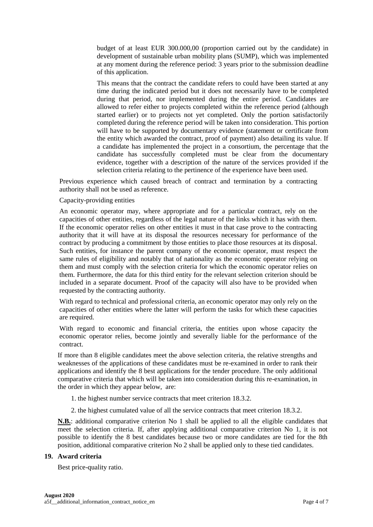budget of at least EUR 300.000,00 (proportion carried out by the candidate) in development of sustainable urban mobility plans (SUMP), which was implemented at any moment during the reference period: 3 years prior to the submission deadline of this application.

This means that the contract the candidate refers to could have been started at any time during the indicated period but it does not necessarily have to be completed during that period, nor implemented during the entire period. Candidates are allowed to refer either to projects completed within the reference period (although started earlier) or to projects not yet completed. Only the portion satisfactorily completed during the reference period will be taken into consideration. This portion will have to be supported by documentary evidence (statement or certificate from the entity which awarded the contract, proof of payment) also detailing its value. If a candidate has implemented the project in a consortium, the percentage that the candidate has successfully completed must be clear from the documentary evidence, together with a description of the nature of the services provided if the selection criteria relating to the pertinence of the experience have been used.

Previous experience which caused breach of contract and termination by a contracting authority shall not be used as reference.

## Capacity-providing entities

An economic operator may, where appropriate and for a particular contract, rely on the capacities of other entities, regardless of the legal nature of the links which it has with them. If the economic operator relies on other entities it must in that case prove to the contracting authority that it will have at its disposal the resources necessary for performance of the contract by producing a commitment by those entities to place those resources at its disposal. Such entities, for instance the parent company of the economic operator, must respect the same rules of eligibility and notably that of nationality as the economic operator relying on them and must comply with the selection criteria for which the economic operator relies on them. Furthermore, the data for this third entity for the relevant selection criterion should be included in a separate document. Proof of the capacity will also have to be provided when requested by the contracting authority.

With regard to technical and professional criteria, an economic operator may only rely on the capacities of other entities where the latter will perform the tasks for which these capacities are required.

With regard to economic and financial criteria, the entities upon whose capacity the economic operator relies, become jointly and severally liable for the performance of the contract.

If more than 8 eligible candidates meet the above selection criteria, the relative strengths and weaknesses of the applications of these candidates must be re-examined in order to rank their applications and identify the 8 best applications for the tender procedure. The only additional comparative criteria that which will be taken into consideration during this re-examination, in the order in which they appear below, are:

- 1. the highest number service contracts that meet criterion 18.3.2.
- 2. the highest cumulated value of all the service contracts that meet criterion 18.3.2.

**N.B.**: additional comparative criterion No 1 shall be applied to all the eligible candidates that meet the selection criteria. If, after applying additional comparative criterion No 1, it is not possible to identify the 8 best candidates because two or more candidates are tied for the 8th position, additional comparative criterion No 2 shall be applied only to these tied candidates.

#### **19. Award criteria**

Best price-quality ratio.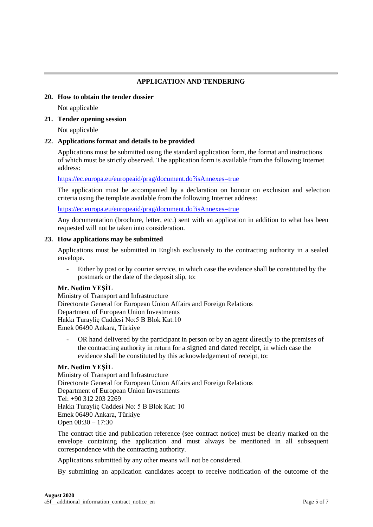# **APPLICATION AND TENDERING**

# **20. How to obtain the tender dossier**

Not applicable

# **21. Tender opening session**

Not applicable

# **22. Applications format and details to be provided**

Applications must be submitted using the standard application form, the format and instructions of which must be strictly observed. The application form is available from the following Internet address:

<https://ec.europa.eu/europeaid/prag/document.do?isAnnexes=true>

The application must be accompanied by a declaration on honour on exclusion and selection criteria using the template available from the following Internet address:

<https://ec.europa.eu/europeaid/prag/document.do?isAnnexes=true>

Any documentation (brochure, letter, etc.) sent with an application in addition to what has been requested will not be taken into consideration.

# **23. How applications may be submitted**

Applications must be submitted in English exclusively to the contracting authority in a sealed envelope.

Either by post or by courier service, in which case the evidence shall be constituted by the postmark or the date of the deposit slip, to:

# **Mr. Nedim YEŞİL**

Ministry of Transport and Infrastructure Directorate General for European Union Affairs and Foreign Relations Department of European Union Investments Hakkı Turayliç Caddesi No:5 B Blok Kat:10 Emek 06490 Ankara, Türkiye

OR hand delivered by the participant in person or by an agent directly to the premises of the contracting authority in return for a signed and dated receipt, in which case the evidence shall be constituted by this acknowledgement of receipt, to:

# **Mr. Nedim YEŞİL**

Ministry of Transport and Infrastructure Directorate General for European Union Affairs and Foreign Relations Department of European Union Investments Tel: +90 312 203 2269 Hakkı Turayliç Caddesi No: 5 B Blok Kat: 10 Emek 06490 Ankara, Türkiye Open 08:30 – 17:30

The contract title and publication reference (see contract notice) must be clearly marked on the envelope containing the application and must always be mentioned in all subsequent correspondence with the contracting authority.

Applications submitted by any other means will not be considered.

By submitting an application candidates accept to receive notification of the outcome of the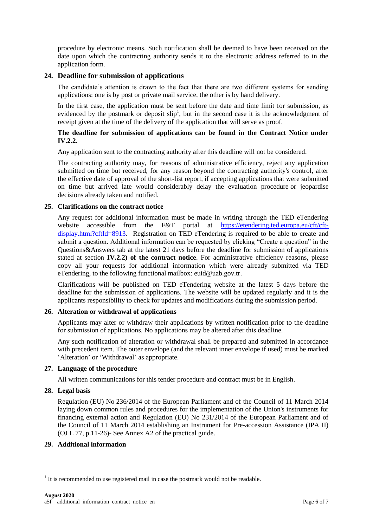procedure by electronic means. Such notification shall be deemed to have been received on the date upon which the contracting authority sends it to the electronic address referred to in the application form.

# **24. Deadline for submission of applications**

The candidate's attention is drawn to the fact that there are two different systems for sending applications: one is by post or private mail service, the other is by hand delivery.

In the first case, the application must be sent before the date and time limit for submission, as evidenced by the postmark or deposit  $\text{slip}^1$ , but in the second case it is the acknowledgment of receipt given at the time of the delivery of the application that will serve as proof.

## **The deadline for submission of applications can be found in the Contract Notice under IV.2.2.**

Any application sent to the contracting authority after this deadline will not be considered.

The contracting authority may, for reasons of administrative efficiency, reject any application submitted on time but received, for any reason beyond the contracting authority's control, after the effective date of approval of the short-list report, if accepting applications that were submitted on time but arrived late would considerably delay the evaluation procedure or jeopardise decisions already taken and notified.

## **25. Clarifications on the contract notice**

Any request for additional information must be made in writing through the TED eTendering website accessible from the F&T portal at [https://etendering.ted.europa.eu/cft/cft](https://etendering.ted.europa.eu/cft/cft-display.html?cftId=8913)[display.html?cftId=8913](https://etendering.ted.europa.eu/cft/cft-display.html?cftId=8913). Registration on TED eTendering is required to be able to create and submit a question. Additional information can be requested by clicking "Create a question" in the Questions&Answers tab at the latest 21 days before the deadline for submission of applications stated at section **IV.2.2) of the contract notice**. For administrative efficiency reasons, please copy all your requests for additional information which were already submitted via TED eTendering, to the following functional mailbox: euid@uab.gov.tr.

Clarifications will be published on TED eTendering website at the latest 5 days before the deadline for the submission of applications. The website will be updated regularly and it is the applicants responsibility to check for updates and modifications during the submission period.

# **26. Alteration or withdrawal of applications**

Applicants may alter or withdraw their applications by written notification prior to the deadline for submission of applications. No applications may be altered after this deadline.

Any such notification of alteration or withdrawal shall be prepared and submitted in accordance with precedent item. The outer envelope (and the relevant inner envelope if used) must be marked 'Alteration' or 'Withdrawal' as appropriate.

## **27. Language of the procedure**

All written communications for this tender procedure and contract must be in English.

## **28. Legal basis**

1

Regulation (EU) No 236/2014 of the European Parliament and of the Council of 11 March 2014 laying down common rules and procedures for the implementation of the Union's instruments for financing external action and Regulation (EU) No 231/2014 of the European Parliament and of the Council of 11 March 2014 establishing an Instrument for Pre-accession Assistance (IPA II) (OJ L 77, p.11-26)- See Annex A2 of the practical guide.

## **29. Additional information**

 $<sup>1</sup>$  It is recommended to use registered mail in case the postmark would not be readable.</sup>